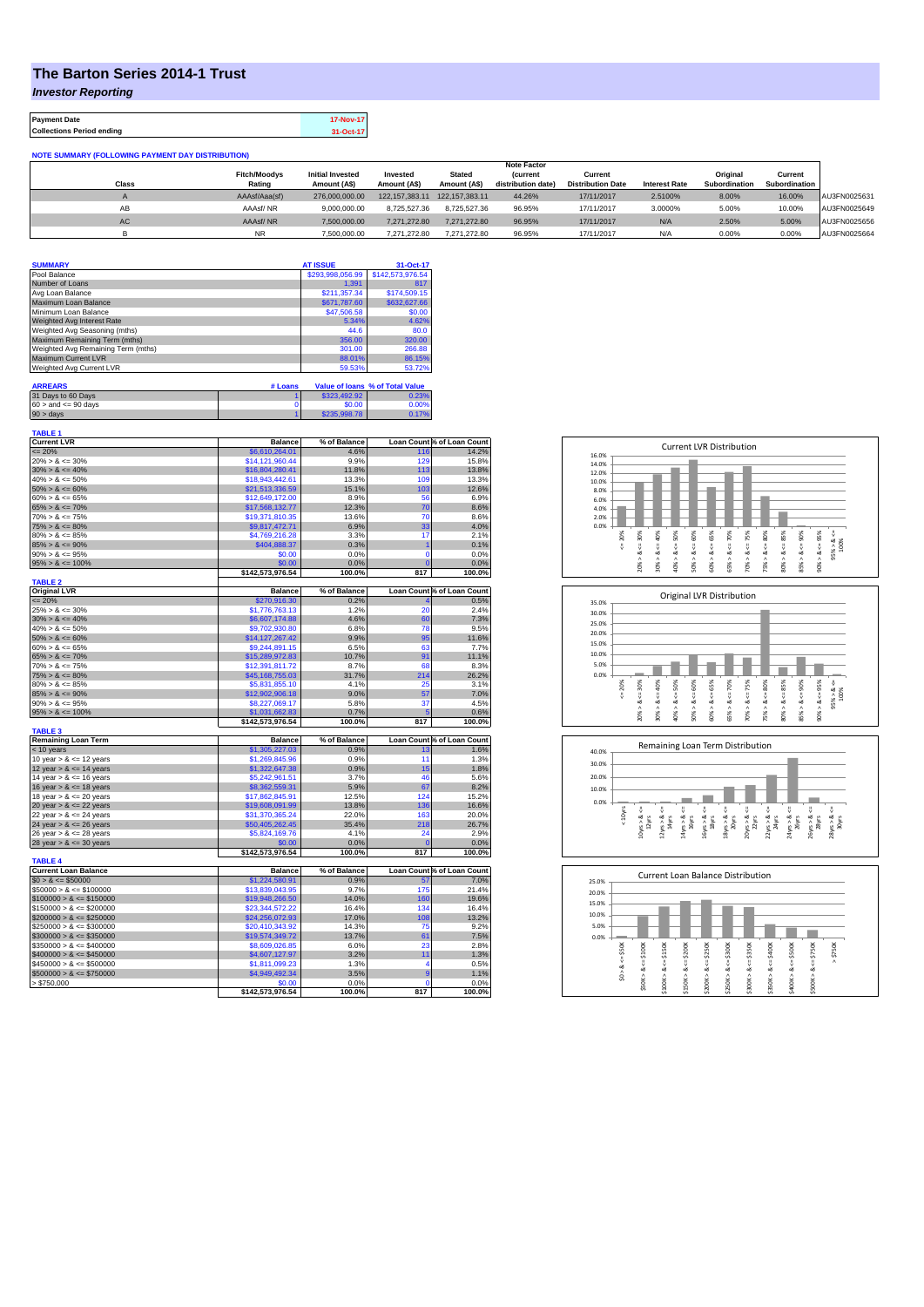## **The Barton Series 2014-1 Trust**

*Investor Reporting*

| <b>Payment Date</b>              | 17-Nov-17 |
|----------------------------------|-----------|
| <b>Collections Period ending</b> | 31-Oct-17 |

**Collections Period ending** 

| <b>NOTE SUMMARY (FOLLOWING PAYMENT DAY DISTRIBUTION)</b> |                               |                                         |                          |                               |                                     |                                     |                      |                           |                          |              |
|----------------------------------------------------------|-------------------------------|-----------------------------------------|--------------------------|-------------------------------|-------------------------------------|-------------------------------------|----------------------|---------------------------|--------------------------|--------------|
|                                                          |                               |                                         |                          |                               | <b>Note Factor</b>                  |                                     |                      |                           |                          |              |
| <b>Class</b>                                             | <b>Fitch/Moodys</b><br>Rating | <b>Initial Invested</b><br>Amount (A\$) | Invested<br>Amount (A\$) | <b>Stated</b><br>Amount (A\$) | <b>Current</b><br>distribution date | Current<br><b>Distribution Date</b> | <b>Interest Rate</b> | Original<br>Subordination | Current<br>Subordination |              |
|                                                          | AAAsf/Aaa(sf)                 | 276.000.000.00                          | 122.157.383.11           | 122.157.383.11                | 44.26%                              | 17/11/2017                          | 2.5100%              | 8.00%                     | 16.00%                   | AU3FN0025631 |
| AВ                                                       | AAAsf/NR                      | 9.000.000.00                            | 8.725.527.36             | 8.725.527.36                  | 96.95%                              | 17/11/2017                          | 3.0000%              | 5.00%                     | 10.00%                   | AU3FN0025649 |
| AC                                                       | AAAsf/NR                      | 7,500,000.00                            | 7.271.272.80             | 7.271.272.80                  | 96.95%                              | 17/11/2017                          | N/A                  | 2.50%                     | 5.00%                    | AU3FN0025656 |
| ь                                                        | <b>NR</b>                     | 7,500,000.00                            | 7.271.272.80             | 7.271.272.80                  | 96.95%                              | 17/11/2017                          | N/A                  | 0.00%                     | 0.00%                    | AU3FN0025664 |

| <b>SUMMARY</b>                     |         | <b>AT ISSUE</b>  | 31-Oct-17                       |
|------------------------------------|---------|------------------|---------------------------------|
| Pool Balance                       |         | \$293.998.056.99 | \$142,573,976.54                |
| Number of Loans                    |         | 1.391            | 817                             |
| Avg Loan Balance                   |         | \$211.357.34     | \$174,509.15                    |
| Maximum Loan Balance               |         | \$671,787.60     | \$632,627.66                    |
| Minimum Loan Balance               |         | \$47,506.58      | \$0.00                          |
| Weighted Avg Interest Rate         |         | 5.34%            | 4.62%                           |
| Weighted Avg Seasoning (mths)      |         | 44.6             | 80.0                            |
| Maximum Remaining Term (mths)      |         | 356.00           | 320.00                          |
| Weighted Avg Remaining Term (mths) |         | 301.00           | 266.88                          |
| <b>Maximum Current LVR</b>         |         | 88.01%           | 86.15%                          |
| Weighted Avg Current LVR           |         | 59.53%           | 53.72%                          |
|                                    |         |                  |                                 |
| <b>ARREARS</b>                     | # Loans |                  | Value of Ioans % of Total Value |
| 31 Days to 60 Days                 |         | \$323,492.92     | 0.23%                           |

|                           |              | ----- |
|---------------------------|--------------|-------|
| $60 >$ and $\leq 90$ days | \$0.00       | 1.00% |
| $90 > \text{days}$        | \$235,998.78 |       |
|                           |              |       |

| <b>TABLE 1</b><br><b>Current LVR</b> | <b>Balance</b>   | % of Balance |                | Loan Count % of Loan Count |
|--------------------------------------|------------------|--------------|----------------|----------------------------|
| $\leq$ 20%                           | \$6.610.264.01   | 4.6%         | 116            | 14.2%                      |
| $20\% > 8 \le 30\%$                  | \$14,121,960.44  | 9.9%         | 129            | 15.8%                      |
| $30\% > 8 \le 40\%$                  | \$16,804,280.41  | 11.8%        | 113            | 13.8%                      |
| $40\% > 8 \le 50\%$                  | \$18,943,442.61  | 13.3%        | 109            | 13.3%                      |
| $50\% > 8 \le 60\%$                  | \$21,513,336.59  | 15.1%        | 103            | 12.6%                      |
| $60\% > 8 \le 65\%$                  | \$12,649,172.00  | 8.9%         | 56             | 6.9%                       |
| $65\% > 8 \le 70\%$                  | \$17,568,132.77  | 12.3%        | 70             | 8.6%                       |
| $70\% > 8 \le 75\%$                  | \$19,371,810.35  | 13.6%        | 70             | 8.6%                       |
| $75\% > 8 \le 80\%$                  | \$9,817,472.71   | 6.9%         | 33             | 4.0%                       |
| $80\% > 8 \le 85\%$                  | \$4,769,216.28   | 3.3%         | 17             | 2.1%                       |
| $85\% > 8 \le 90\%$                  | \$404.888.37     | 0.3%         |                | 0.1%                       |
| $90\% > 8 \le 95\%$                  | \$0.00           | 0.0%         | $\mathbf 0$    | 0.0%                       |
| $95\% > 8 \le 100\%$                 | \$0.00           | 0.0%         |                | 0.0%                       |
|                                      | \$142,573,976.54 | 100.0%       | 817            | 100.0%                     |
| <b>TABLE 2</b>                       |                  |              |                |                            |
| <b>Original LVR</b>                  | <b>Balance</b>   | % of Balance |                | Loan Count % of Loan Count |
| $\leq$ 20%                           | \$270,916.30     | 0.2%         |                | 0.5%                       |
| $25\% > 8 \le 30\%$                  | \$1,776,763.13   | 1.2%         | 20             | 2.4%                       |
| $30\% > 8 \le 40\%$                  | \$6,607,174.88   | 4.6%         | 60             | 7.3%                       |
| $40\% > 8 \le 50\%$                  | \$9,702,930.80   | 6.8%         | 78             | 9.5%                       |
| $50\% > 8 \le 60\%$                  | \$14,127,267.42  | 9.9%         | 95             | 11.6%                      |
| $60\% > 8 \le 65\%$                  | \$9,244,891.15   | 6.5%         | 63             | 7.7%                       |
| $65\% > 8 \le 70\%$                  | \$15,289,972.83  | 10.7%        | 91             | 11.1%                      |
| $70\% > 8 \le 75\%$                  | \$12,391,811.72  | 8.7%         | 68             | 8.3%                       |
| $75\% > 8 \le 80\%$                  | \$45,168,755.03  | 31.7%        | 214            | 26.2%                      |
| $80\% > 8 \le 85\%$                  | \$5,831,855.10   | 4.1%         | 25             | 3.1%                       |
| $85\% > 8 \le 90\%$                  | \$12,902,906.18  | 9.0%         | 57             | 7.0%                       |
| $90\% > 8 \le 95\%$                  | \$8,227,069.17   | 5.8%         | 37             | 4.5%                       |
| $95\% > 8 \le 100\%$                 | \$1.031.662.83   | 0.7%         |                | 0.6%                       |
| <b>TABLE 3</b>                       | \$142,573,976.54 | 100.0%       | 817            | 100.0%                     |
| <b>Remaining Loan Term</b>           | <b>Balance</b>   | % of Balance |                | Loan Count % of Loan Count |
| $<$ 10 years                         | \$1,305,227.03   | 0.9%         | 13             | 1.6%                       |
| 10 year $> 8 \le 12$ years           | \$1,269,845.96   | 0.9%         | 11             | 1.3%                       |
| 12 year $> 8 \le 14$ years           | \$1,322,647.38   | 0.9%         | 15             | 1.8%                       |
| 14 year $> 8 \le 16$ years           | \$5,242,961.51   | 3.7%         | 46             | 5.6%                       |
| 16 year $> 8 \le 18$ years           | \$8,362,559.31   | 5.9%         | 67             | 8.2%                       |
| 18 year $> 8 \le 20$ years           | \$17,862,845.91  | 12.5%        | 124            | 15.2%                      |
| 20 year $> 8 \le 22$ years           | \$19,608,091.99  | 13.8%        | 136            | 16.6%                      |
| 22 year $> 8 \le 24$ years           | \$31,370,365.24  | 22.0%        | 163            | 20.0%                      |
| 24 year $> 8 \le 26$ years           | \$50,405,262.45  | 35.4%        | 218            | 26.7%                      |
| 26 year $> 8 \le 28$ years           | \$5,824,169.76   | 4.1%         | 24             | 2.9%                       |
| 28 year $> 8 \le 30$ years           | \$0.00           | 0.0%         | 0              | 0.0%                       |
|                                      | \$142,573,976.54 | 100.0%       | 817            | 100.0%                     |
| <b>TABLE 4</b>                       |                  |              |                |                            |
| <b>Current Loan Balance</b>          | <b>Balance</b>   | % of Balance |                | Loan Count % of Loan Count |
| $$0 > 8 \le $50000$                  | \$1,224,580.91   | 0.9%         | 57             | 7.0%                       |
| $$50000 > 8 \le $100000$             | \$13,839,043.95  | 9.7%         | 175            | 21.4%                      |
| $$100000 > 8 \le $150000$            | \$19,948,266.50  | 14.0%        | 160            | 19.6%                      |
| $$150000 > 8 \leq $200000$           | \$23,344,572.22  | 16.4%        | 134            | 16.4%                      |
| $$200000 > 8 \leq $250000$           | \$24,256,072.93  | 17.0%        | 108            | 13.2%                      |
| $$250000 > 8 \leq $300000$           | \$20,410,343.92  | 14.3%        | 75             | 9.2%                       |
| $$300000 > 8 \leq $350000$           | \$19,574,349.72  | 13.7%        | 61             | 7.5%                       |
| $$350000 > 8 \leq $400000$           | \$8,609,026.85   | 6.0%         | 23             | 2.8%                       |
| $$400000 > 8 \le $450000$            | \$4,607,127.97   | 3.2%         | 11             | 1.3%                       |
| $$450000 > 8 \le $500000$            | \$1,811,099.23   | 1.3%         | $\overline{4}$ | 0.5%                       |
| $$500000 > 8 \le $750000$            | \$4,949,492.34   | 3.5%         | 9              | 1.1%                       |
| > \$750,000                          | \$0.00           | 0.0%         | $\Omega$       | 0.0%                       |
|                                      | \$142,573,976.54 | 100.0%       | 817            | 100.0%                     |